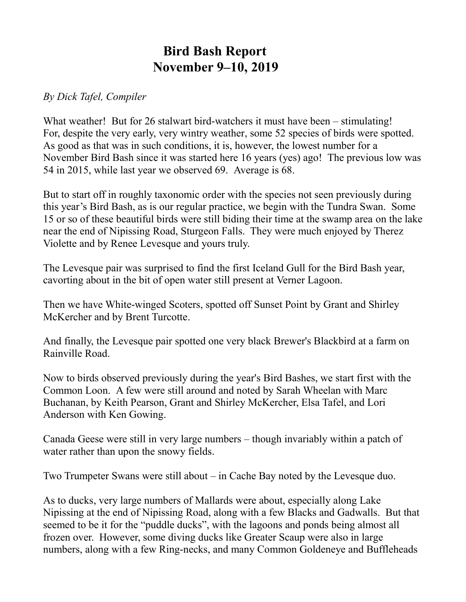## **Bird Bash Report November 9–10, 2019**

## *By Dick Tafel, Compiler*

What weather! But for 26 stalwart bird-watchers it must have been – stimulating! For, despite the very early, very wintry weather, some 52 species of birds were spotted. As good as that was in such conditions, it is, however, the lowest number for a November Bird Bash since it was started here 16 years (yes) ago! The previous low was 54 in 2015, while last year we observed 69. Average is 68.

But to start off in roughly taxonomic order with the species not seen previously during this year's Bird Bash, as is our regular practice, we begin with the Tundra Swan. Some 15 or so of these beautiful birds were still biding their time at the swamp area on the lake near the end of Nipissing Road, Sturgeon Falls. They were much enjoyed by Therez Violette and by Renee Levesque and yours truly.

The Levesque pair was surprised to find the first Iceland Gull for the Bird Bash year, cavorting about in the bit of open water still present at Verner Lagoon.

Then we have White-winged Scoters, spotted off Sunset Point by Grant and Shirley McKercher and by Brent Turcotte.

And finally, the Levesque pair spotted one very black Brewer's Blackbird at a farm on Rainville Road.

Now to birds observed previously during the year's Bird Bashes, we start first with the Common Loon. A few were still around and noted by Sarah Wheelan with Marc Buchanan, by Keith Pearson, Grant and Shirley McKercher, Elsa Tafel, and Lori Anderson with Ken Gowing.

Canada Geese were still in very large numbers – though invariably within a patch of water rather than upon the snowy fields.

Two Trumpeter Swans were still about – in Cache Bay noted by the Levesque duo.

As to ducks, very large numbers of Mallards were about, especially along Lake Nipissing at the end of Nipissing Road, along with a few Blacks and Gadwalls. But that seemed to be it for the "puddle ducks", with the lagoons and ponds being almost all frozen over. However, some diving ducks like Greater Scaup were also in large numbers, along with a few Ring-necks, and many Common Goldeneye and Buffleheads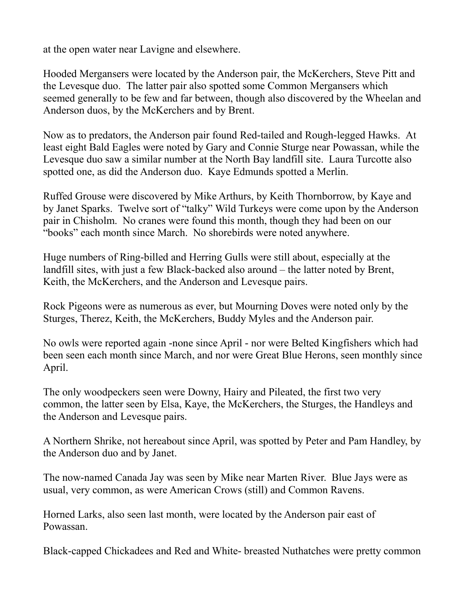at the open water near Lavigne and elsewhere.

Hooded Mergansers were located by the Anderson pair, the McKerchers, Steve Pitt and the Levesque duo. The latter pair also spotted some Common Mergansers which seemed generally to be few and far between, though also discovered by the Wheelan and Anderson duos, by the McKerchers and by Brent.

Now as to predators, the Anderson pair found Red-tailed and Rough-legged Hawks. At least eight Bald Eagles were noted by Gary and Connie Sturge near Powassan, while the Levesque duo saw a similar number at the North Bay landfill site. Laura Turcotte also spotted one, as did the Anderson duo. Kaye Edmunds spotted a Merlin.

Ruffed Grouse were discovered by Mike Arthurs, by Keith Thornborrow, by Kaye and by Janet Sparks. Twelve sort of "talky" Wild Turkeys were come upon by the Anderson pair in Chisholm. No cranes were found this month, though they had been on our "books" each month since March. No shorebirds were noted anywhere.

Huge numbers of Ring-billed and Herring Gulls were still about, especially at the landfill sites, with just a few Black-backed also around – the latter noted by Brent, Keith, the McKerchers, and the Anderson and Levesque pairs.

Rock Pigeons were as numerous as ever, but Mourning Doves were noted only by the Sturges, Therez, Keith, the McKerchers, Buddy Myles and the Anderson pair.

No owls were reported again -none since April - nor were Belted Kingfishers which had been seen each month since March, and nor were Great Blue Herons, seen monthly since April.

The only woodpeckers seen were Downy, Hairy and Pileated, the first two very common, the latter seen by Elsa, Kaye, the McKerchers, the Sturges, the Handleys and the Anderson and Levesque pairs.

A Northern Shrike, not hereabout since April, was spotted by Peter and Pam Handley, by the Anderson duo and by Janet.

The now-named Canada Jay was seen by Mike near Marten River. Blue Jays were as usual, very common, as were American Crows (still) and Common Ravens.

Horned Larks, also seen last month, were located by the Anderson pair east of Powassan.

Black-capped Chickadees and Red and White- breasted Nuthatches were pretty common